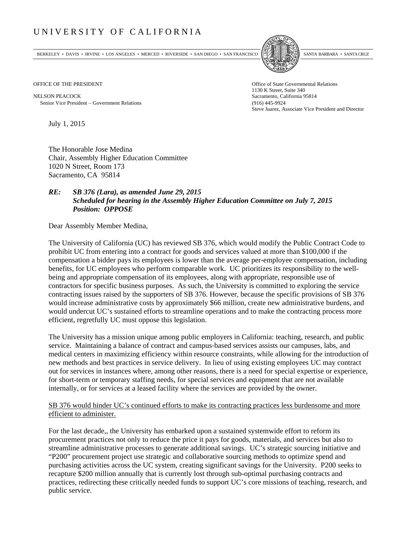## UNIVERSITY OF CALIFORNIA

BERKELEY • DAVIS • IRVINE • LOS ANGELES • MERCED • RIVERSIDE • SAN DIEGO • SAN FRANCISCO SANTA BARBARA • SANTA CRUZ



1130 K Street, Suite 340 Steve Juarez, Associate Vice President and Director

OFFICE OF THE PRESIDENT STATES OF THE PRESIDENT

NELSON PEACOCK Sacramento, California 95814 Senior Vice President Government Relations (916) 445-9924

July 1, 2015

The Honorable Jose Medina Chair, Assembly Higher Education Committee 1020 N Street, Room 173 Sacramento, CA 95814

## *RE: SB 376 (Lara), as amended June 29, 2015 Scheduled for hearing in the Assembly Higher Education Committee on July 7, 2015 Position: OPPOSE*

Dear Assembly Member Medina,

The University of California (UC) has reviewed SB 376, which would modify the Public Contract Code to prohibit UC from entering into a contract for goods and services valued at more than \$100,000 if the compensation a bidder pays its employees is lower than the average per-employee compensation, including benefits, for UC employees who perform comparable work. UC prioritizes its responsibility to the wellbeing and appropriate compensation of its employees, along with appropriate, responsible use of contractors for specific business purposes. As such, the University is committed to exploring the service contracting issues raised by the supporters of SB 376. However, because the specific provisions of SB 376 would increase administrative costs by approximately \$66 million, create new administrative burdens, and would undercut UC's sustained efforts to streamline operations and to make the contracting process more efficient, regretfully UC must oppose this legislation.

The University has a mission unique among public employers in California: teaching, research, and public service. Maintaining a balance of contract and campus‐based services assists our campuses, labs, and medical centers in maximizing efficiency within resource constraints, while allowing for the introduction of new methods and best practices in service delivery. In lieu of using existing employees UC may contract out for services in instances where, among other reasons, there is a need for special expertise or experience, for short-term or temporary staffing needs, for special services and equipment that are not available internally, or for services at a leased facility where the services are provided by the owner.

## SB 376 would hinder UC's continued efforts to make its contracting practices less burdensome and more efficient to administer.

For the last decade,, the University has embarked upon a sustained systemwide effort to reform its procurement practices not only to reduce the price it pays for goods, materials, and services but also to streamline administrative processes to generate additional savings. UC's strategic sourcing initiative and "P200" procurement project use strategic and collaborative sourcing methods to optimize spend and purchasing activities across the UC system, creating significant savings for the University. P200 seeks to recapture \$200 million annually that is currently lost through sub-optimal purchasing contracts and practices, redirecting these critically needed funds to support UC's core missions of teaching, research, and public service.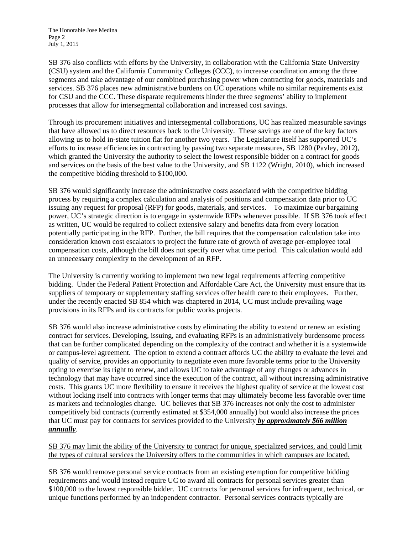The Honorable Jose Medina Page 2 July 1, 2015

SB 376 also conflicts with efforts by the University, in collaboration with the California State University (CSU) system and the California Community Colleges (CCC), to increase coordination among the three segments and take advantage of our combined purchasing power when contracting for goods, materials and services. SB 376 places new administrative burdens on UC operations while no similar requirements exist for CSU and the CCC. These disparate requirements hinder the three segments' ability to implement processes that allow for intersegmental collaboration and increased cost savings.

Through its procurement initiatives and intersegmental collaborations, UC has realized measurable savings that have allowed us to direct resources back to the University. These savings are one of the key factors allowing us to hold in-state tuition flat for another two years. The Legislature itself has supported UC's efforts to increase efficiencies in contracting by passing two separate measures, SB 1280 (Pavley, 2012), which granted the University the authority to select the lowest responsible bidder on a contract for goods and services on the basis of the best value to the University, and SB 1122 (Wright, 2010), which increased the competitive bidding threshold to \$100,000.

SB 376 would significantly increase the administrative costs associated with the competitive bidding process by requiring a complex calculation and analysis of positions and compensation data prior to UC issuing any request for proposal (RFP) for goods, materials, and services. To maximize our bargaining power, UC's strategic direction is to engage in systemwide RFPs whenever possible. If SB 376 took effect as written, UC would be required to collect extensive salary and benefits data from every location potentially participating in the RFP. Further, the bill requires that the compensation calculation take into consideration known cost escalators to project the future rate of growth of average per-employee total compensation costs, although the bill does not specify over what time period. This calculation would add an unnecessary complexity to the development of an RFP.

The University is currently working to implement two new legal requirements affecting competitive bidding. Under the Federal Patient Protection and Affordable Care Act, the University must ensure that its suppliers of temporary or supplementary staffing services offer health care to their employees. Further, under the recently enacted SB 854 which was chaptered in 2014, UC must include prevailing wage provisions in its RFPs and its contracts for public works projects.

SB 376 would also increase administrative costs by eliminating the ability to extend or renew an existing contract for services. Developing, issuing, and evaluating RFPs is an administratively burdensome process that can be further complicated depending on the complexity of the contract and whether it is a systemwide or campus-level agreement. The option to extend a contract affords UC the ability to evaluate the level and quality of service, provides an opportunity to negotiate even more favorable terms prior to the University opting to exercise its right to renew, and allows UC to take advantage of any changes or advances in technology that may have occurred since the execution of the contract, all without increasing administrative costs. This grants UC more flexibility to ensure it receives the highest quality of service at the lowest cost without locking itself into contracts with longer terms that may ultimately become less favorable over time as markets and technologies change. UC believes that SB 376 increases not only the cost to administer competitively bid contracts (currently estimated at \$354,000 annually) but would also increase the prices that UC must pay for contracts for services provided to the University *by approximately \$66 million annually*.

SB 376 may limit the ability of the University to contract for unique, specialized services, and could limit the types of cultural services the University offers to the communities in which campuses are located.

SB 376 would remove personal service contracts from an existing exemption for competitive bidding requirements and would instead require UC to award all contracts for personal services greater than \$100,000 to the lowest responsible bidder. UC contracts for personal services for infrequent, technical, or unique functions performed by an independent contractor. Personal services contracts typically are